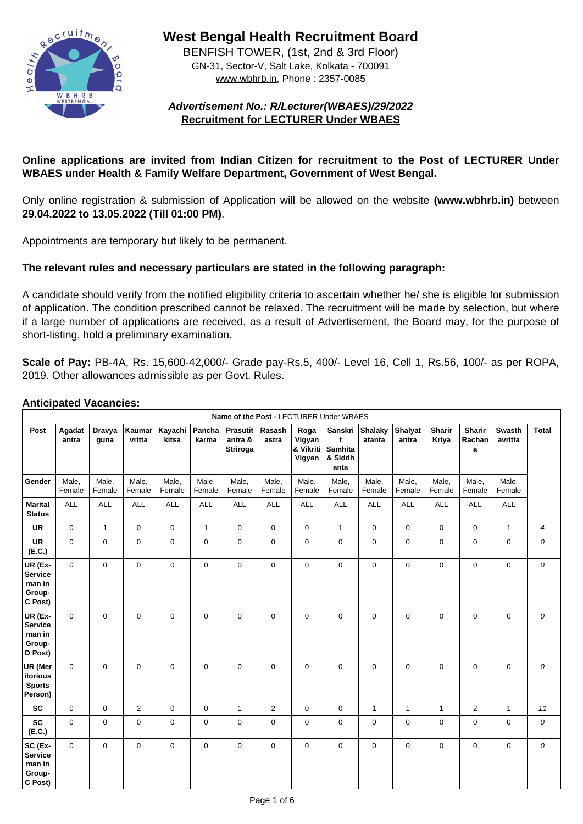

**West Bengal Health Recruitment Board**

BENFISH TOWER, (1st, 2nd & 3rd Floor) GN-31, Sector-V, Salt Lake, Kolkata - 700091 www.wbhrb.in, Phone : 2357-0085

# **Advertisement No.: R/Lecturer(WBAES)/29/2022 Recruitment for LECTURER Under WBAES**

# **Online applications are invited from Indian Citizen for recruitment to the Post of LECTURER Under WBAES under Health & Family Welfare Department, Government of West Bengal.**

Only online registration & submission of Application will be allowed on the website **(www.wbhrb.in)** between **29.04.2022 to 13.05.2022 (Till 01:00 PM)**.

Appointments are temporary but likely to be permanent.

## **The relevant rules and necessary particulars are stated in the following paragraph:**

A candidate should verify from the notified eligibility criteria to ascertain whether he/ she is eligible for submission of application. The condition prescribed cannot be relaxed. The recruitment will be made by selection, but where if a large number of applications are received, as a result of Advertisement, the Board may, for the purpose of short-listing, hold a preliminary examination.

**Scale of Pay:** PB-4A, Rs. 15,600-42,000/- Grade pay-Rs.5, 400/- Level 16, Cell 1, Rs.56, 100/- as per ROPA, 2019. Other allowances admissible as per Govt. Rules.

#### **Anticipated Vacancies:**

|                                                          | Name of the Post - LECTURER Under WBAES |                       |                         |                   |                        |                                         |                 |                                       |                                                      |                   |                         |                               |                              |                          |                  |
|----------------------------------------------------------|-----------------------------------------|-----------------------|-------------------------|-------------------|------------------------|-----------------------------------------|-----------------|---------------------------------------|------------------------------------------------------|-------------------|-------------------------|-------------------------------|------------------------------|--------------------------|------------------|
| <b>Post</b>                                              | Agadat<br>antra                         | <b>Dravya</b><br>guna | <b>Kaumar</b><br>vritta | ∣Kayachi<br>kitsa | <b>Pancha</b><br>karma | <b>Prasutit</b><br>antra &<br> Striroga | Rasash<br>astra | Roga<br>Vigyan<br>& Vikriti<br>Vigyan | Sanskri<br>$\mathbf t$<br>Samhita<br>8 Siddh<br>anta | Shalaky<br>atanta | <b>Shalyat</b><br>antra | <b>Sharir</b><br><b>Kriya</b> | <b>Sharir</b><br>Rachan<br>a | <b>Swasth</b><br>avritta | <b>Total</b>     |
| <b>Gender</b>                                            | Male,<br>Female                         | Male,<br>Female       | Male,<br>Female         | Male,<br>Female   | Male,<br>Female        | Male,<br>Female                         | Male,<br>Female | Male,<br>Female                       | Male,<br>Female                                      | Male,<br>Female   | Male,<br>Female         | Male,<br>Female               | Male,<br>Female              | Male,<br>Female          |                  |
| <b>Marital</b><br><b>Status</b>                          | <b>ALL</b>                              | <b>ALL</b>            | <b>ALL</b>              | <b>ALL</b>        | <b>ALL</b>             | <b>ALL</b>                              | <b>ALL</b>      | <b>ALL</b>                            | <b>ALL</b>                                           | <b>ALL</b>        | <b>ALL</b>              | <b>ALL</b>                    | <b>ALL</b>                   | <b>ALL</b>               |                  |
| <b>UR</b>                                                | $\overline{0}$                          | $\mathbf 1$           | $\overline{0}$          | $\overline{0}$    |                        | $\overline{0}$                          | $\overline{0}$  | $\overline{0}$                        | $\mathbf 1$                                          | $\overline{0}$    | $\overline{0}$          | $\overline{0}$                | $\overline{0}$               | $\mathbf 1$              | 4                |
| <b>UR</b><br>(E.C.)                                      | $\overline{0}$                          | $\overline{0}$        | $\overline{0}$          | $\overline{0}$    | $\overline{0}$         | $\overline{0}$                          | $\overline{0}$  | $\overline{0}$                        | $\overline{0}$                                       | $\overline{0}$    | $\overline{0}$          | $\overline{0}$                | $\overline{0}$               | $\overline{0}$           | $\overline{O}$   |
| UR (Ex-<br><b>Service</b><br>man in<br>Group-<br>C Post) | $\overline{0}$                          | $\overline{0}$        | $\overline{0}$          | $\overline{0}$    | $\overline{0}$         | $\overline{0}$                          | $\overline{0}$  | $\overline{0}$                        | $\overline{0}$                                       | $\overline{0}$    | $\overline{0}$          | $\overline{0}$                | $\overline{0}$               | $\overline{0}$           | $\overline{O}$   |
| UR (Ex-<br><b>Service</b><br>man in<br>Group-<br>D Post) | $\overline{0}$                          | $\overline{0}$        | $\overline{0}$          | $\overline{0}$    | $\mathbf 0$            | $\overline{0}$                          | $\overline{0}$  | $\overline{0}$                        | $\overline{0}$                                       | $\overline{0}$    | $\overline{0}$          | $\overline{0}$                | $\mathbf 0$                  | $\overline{0}$           | $\overline{O}$   |
| <b>UR (Mer</b><br>itorious<br><b>Sports</b><br>Person)   | $\overline{0}$                          | $\overline{0}$        | $\overline{0}$          | $\overline{0}$    | $\mathbf 0$            | $\overline{0}$                          | $\overline{0}$  | $\mathbf 0$                           | $\overline{0}$                                       | $\overline{0}$    | $\overline{0}$          | $\overline{0}$                | $\mathbf 0$                  | $\overline{0}$           | $\boldsymbol{O}$ |
| <b>SC</b>                                                | $\overline{0}$                          | $\overline{0}$        | 2                       | $\overline{0}$    | $\overline{0}$         | 1                                       | $\overline{2}$  | $\mathbf 0$                           | $\overline{0}$                                       | $\mathbf 1$       | 1                       |                               | 2                            | $\mathbf 1$              | 11               |
| <b>SC</b><br>(E.C.)                                      | $\overline{0}$                          | $\overline{0}$        | $\overline{0}$          | $\overline{0}$    | $\mathbf{0}$           | $\overline{0}$                          | $\overline{0}$  | $\mathbf 0$                           | $\overline{0}$                                       | $\overline{0}$    | $\overline{0}$          | $\mathbf 0$                   | $\mathbf 0$                  | $\overline{0}$           | $\boldsymbol{O}$ |
| SC (Ex-<br><b>Service</b><br>man in<br>Group-<br>C Post) | $\overline{0}$                          | $\overline{0}$        | $\overline{0}$          | $\overline{0}$    | $\mathbf{0}$           | $\overline{0}$                          | $\overline{0}$  | $\overline{0}$                        | $\overline{0}$                                       | $\overline{0}$    | $\overline{0}$          | $\overline{0}$                | $\overline{0}$               | $\overline{0}$           | $\boldsymbol{O}$ |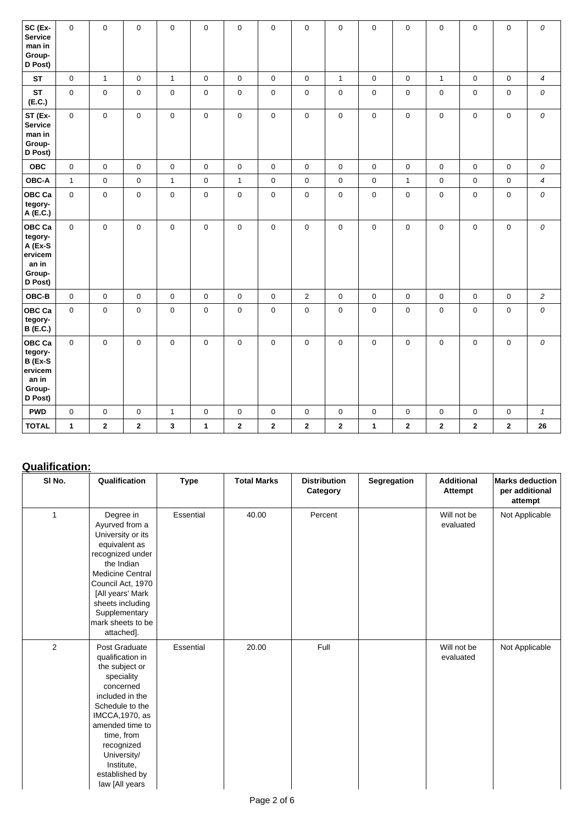| $ SC (Ex-$<br><b>Service</b><br>man in<br><b>Group-</b><br>D Post)                              | $\overline{0}$ | $\overline{0}$ | $\overline{0}$ | $\overline{0}$          | $\overline{0}$       | $\overline{0}$ | $\overline{0}$ | $\overline{0}$ | $\overline{0}$ | $\overline{0}$       | $\overline{0}$ | $\overline{0}$ | $\overline{0}$ | $\overline{0}$ | $\boldsymbol{O}$           |
|-------------------------------------------------------------------------------------------------|----------------|----------------|----------------|-------------------------|----------------------|----------------|----------------|----------------|----------------|----------------------|----------------|----------------|----------------|----------------|----------------------------|
| <b>ST</b>                                                                                       | $\overline{0}$ | $\mathbf 1$    | $\overline{0}$ | $\overline{1}$          | $\overline{0}$       | $\overline{0}$ | $\overline{0}$ | $\overline{0}$ | $\mathbf{1}$   | $\overline{0}$       | $\overline{0}$ | $\mathbf 1$    | $\overline{0}$ | $\overline{0}$ | $\boldsymbol{4}$           |
| <b>ST</b><br>(E.C.)                                                                             | $\overline{0}$ | $\overline{0}$ | $\overline{0}$ | $\overline{0}$          | $\overline{0}$       | $\overline{0}$ | $\overline{0}$ | $\overline{0}$ | $\overline{0}$ | $\overline{0}$       | $\overline{0}$ | $\overline{0}$ | $\overline{0}$ | $\overline{0}$ | ${\cal O}$                 |
| ST (Ex-<br><b>Service</b><br>man in<br><b>Group-</b><br>D Post)                                 | $\overline{0}$ | $\overline{0}$ | $\mathbf{0}$   | $\overline{0}$          | $\mathbf 0$          | $\mathbf{0}$   | $\overline{0}$ | $\mathbf 0$    | $\overline{0}$ | $\overline{0}$       | $\overline{0}$ | $\mathbf 0$    | $\overline{0}$ | $\overline{0}$ | $\boldsymbol{O}$           |
| <b>OBC</b>                                                                                      | $\overline{0}$ | $\overline{0}$ | $\overline{0}$ | $\overline{0}$          | $\overline{0}$       | $\overline{0}$ | $\overline{0}$ | $\overline{0}$ | $\overline{0}$ | $\overline{0}$       | $\overline{0}$ | $\overline{0}$ | $\overline{0}$ | $\overline{0}$ | ${\cal O}$                 |
| <b>OBC-A</b>                                                                                    | $\overline{1}$ | $\overline{0}$ | $\overline{0}$ | $\overline{1}$          | $\overline{0}$       | $\mathbf 1$    | $\overline{0}$ | $\overline{0}$ | $\overline{0}$ | $\overline{0}$       | $\mathbf 1$    | $\overline{0}$ | $\overline{0}$ | $\overline{0}$ | $\boldsymbol{4}$           |
| $ {\sf OBC~Ca} $<br>tegory-<br>A (E.C.)                                                         | $\overline{0}$ | $\overline{0}$ | $\overline{0}$ | $\overline{0}$          | $\overline{0}$       | $\overline{0}$ | $\overline{0}$ | $\overline{0}$ | $\overline{0}$ | $\overline{0}$       | $\overline{0}$ | $\overline{0}$ | $\overline{0}$ | $\overline{0}$ | $\boldsymbol{0}$           |
| $ {\sf OBC~Ca} $<br>tegory-<br>$A$ (Ex-S<br> ervicem<br>an in<br>Group-<br>D Post)              | $\overline{0}$ | $\overline{0}$ | $\overline{0}$ | $\overline{0}$          | $\overline{0}$       | $\overline{0}$ | $\overline{0}$ | $\overline{0}$ | $\overline{0}$ | $\overline{0}$       | $\overline{0}$ | $\overline{0}$ | $\overline{0}$ | $\overline{0}$ | $\boldsymbol{0}$           |
| <b>OBC-B</b>                                                                                    | $\overline{0}$ | $\overline{0}$ | $\overline{0}$ | $\overline{0}$          | $\mathbf 0$          | $\overline{0}$ | $\overline{0}$ | 2              | $\overline{0}$ | $\overline{0}$       | $\mathbf 0$    | $\overline{0}$ | $\overline{0}$ | $\mathbf 0$    | $\overline{2}$             |
| $ {\sf OBC~Ca} $<br>tegory-<br>B (E.C.)                                                         | $\overline{0}$ | $\overline{0}$ | $\overline{0}$ | $\overline{0}$          | $\overline{0}$       | $\overline{0}$ | $\overline{0}$ | $\overline{0}$ | $\overline{0}$ | $\overline{0}$       | $\overline{0}$ | $\overline{0}$ | $\overline{0}$ | $\mathbf 0$    | ${\cal O}$                 |
| $ {\sf OBC~Ca} $<br>tegory-<br>$\vert$ B (Ex-S<br> ervicem<br>an in<br><b>Group-</b><br>D Post) | $\overline{0}$ | $\overline{0}$ | $\overline{0}$ | $\overline{0}$          | $\overline{0}$       | $\overline{0}$ | $\overline{0}$ | $\overline{0}$ | $\mathbf 0$    | $\overline{0}$       | $\mathbf 0$    | $\mathbf 0$    | $\overline{0}$ | $\mathbf 0$    | $\boldsymbol{O}$           |
| <b>PWD</b>                                                                                      | $\overline{0}$ | $\overline{0}$ | $\overline{0}$ | $\overline{\mathbf{1}}$ | $\overline{0}$       | $\overline{0}$ | $\overline{0}$ | $\overline{0}$ | $\overline{0}$ | $\overline{0}$       | $\overline{0}$ | $\overline{0}$ | $\overline{0}$ | $\overline{0}$ | $\boldsymbol{\mathcal{L}}$ |
| <b>TOTAL</b>                                                                                    | $\mathbf 1$    | $\mathbf{2}$   | $\overline{2}$ | $\mathbf{3}$            | $\blacktriangleleft$ | $\overline{2}$ | $\overline{2}$ | $\mathbf{2}$   | $\mathbf{2}$   | $\blacktriangleleft$ | $\mathbf{2}$   | $\mathbf{2}$   | $\overline{2}$ | $\overline{2}$ | 26                         |

# **Qualification:**

| SI No. | Qualification                                                                                                                                                                                                                                                         | <b>Type</b>      | <b>Total Marks</b> | <b>Distribution</b><br>Category | <b>Segregation</b> | <b>Additional</b><br><b>Attempt</b> | <b>Marks deduction</b><br>per additional<br>attempt |
|--------|-----------------------------------------------------------------------------------------------------------------------------------------------------------------------------------------------------------------------------------------------------------------------|------------------|--------------------|---------------------------------|--------------------|-------------------------------------|-----------------------------------------------------|
| 1      | Degree in<br>Ayurved from a<br>University or its<br>equivalent as<br>recognized under<br>the Indian<br><b>Medicine Central</b><br>Council Act, 1970<br>[All years' Mark<br>sheets including<br>Supplementary<br>mark sheets to be<br>attached].                       | <b>Essential</b> | 40.00              | Percent                         |                    | Will not be<br>evaluated            | Not Applicable                                      |
| 2      | <b>Post Graduate</b><br>qualification in<br>the subject or<br>speciality<br>concerned<br>included in the<br>Schedule to the<br><b>IMCCA, 1970, as</b><br>amended time to<br>time, from<br>recognized<br>University/<br>Institute,<br>established by<br>law [All years | <b>Essential</b> | 20.00              | Full                            |                    | Will not be<br>evaluated            | Not Applicable                                      |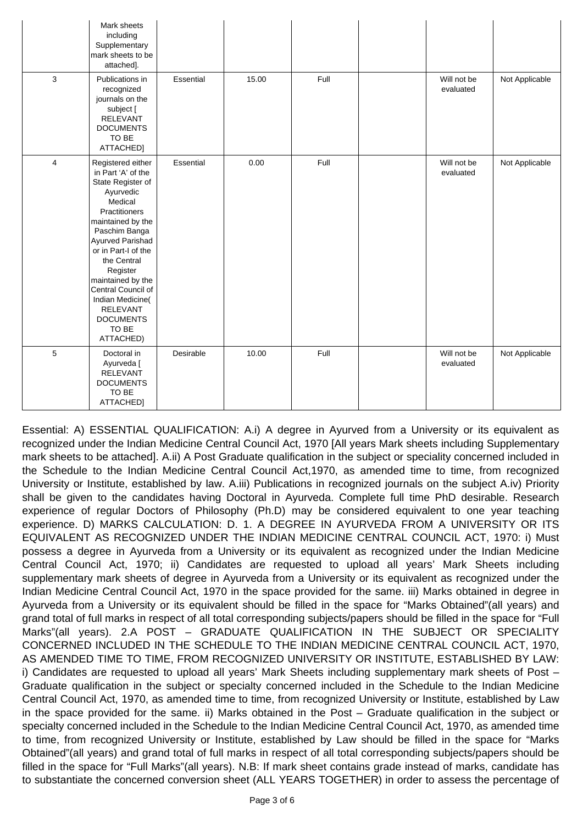|   | Mark sheets<br>including<br>Supplementary<br>mark sheets to be<br>attached].                                                                                                                                                                                                                                                                                       |                  |       |      |                          |                       |
|---|--------------------------------------------------------------------------------------------------------------------------------------------------------------------------------------------------------------------------------------------------------------------------------------------------------------------------------------------------------------------|------------------|-------|------|--------------------------|-----------------------|
| 3 | Publications in<br>recognized<br>journals on the<br>subject [<br><b>RELEVANT</b><br><b>DOCUMENTS</b><br>TO BE<br>ATTACHED]                                                                                                                                                                                                                                         | <b>Essential</b> | 15.00 | Full | Will not be<br>evaluated | <b>Not Applicable</b> |
| 4 | Registered either<br>in Part 'A' of the<br><b>State Register of</b><br>Ayurvedic<br><b>Medical</b><br><b>Practitioners</b><br>maintained by the<br>Paschim Banga<br>Ayurved Parishad<br>or in Part-I of the<br>the Central<br>Register<br>maintained by the<br>Central Council of<br>Indian Medicine(<br><b>RELEVANT</b><br><b>DOCUMENTS</b><br>TO BE<br>ATTACHED) | <b>Essential</b> | 0.00  | Full | Will not be<br>evaluated | <b>Not Applicable</b> |
| 5 | Doctoral in<br>Ayurveda [<br><b>RELEVANT</b><br><b>DOCUMENTS</b><br>TO BE<br>ATTACHED]                                                                                                                                                                                                                                                                             | Desirable        | 10.00 | Full | Will not be<br>evaluated | <b>Not Applicable</b> |

Essential: A) ESSENTIAL QUALIFICATION: A.i) A degree in Ayurved from a University or its equivalent as recognized under the Indian Medicine Central Council Act, 1970 [All years Mark sheets including Supplementary mark sheets to be attached]. A.ii) A Post Graduate qualification in the subject or speciality concerned included in the Schedule to the Indian Medicine Central Council Act,1970, as amended time to time, from recognized University or Institute, established by law. A.iii) Publications in recognized journals on the subject A.iv) Priority shall be given to the candidates having Doctoral in Ayurveda. Complete full time PhD desirable. Research experience of regular Doctors of Philosophy (Ph.D) may be considered equivalent to one year teaching experience. D) MARKS CALCULATION: D. 1. A DEGREE IN AYURVEDA FROM A UNIVERSITY OR ITS EQUIVALENT AS RECOGNIZED UNDER THE INDIAN MEDICINE CENTRAL COUNCIL ACT, 1970: i) Must possess a degree in Ayurveda from a University or its equivalent as recognized under the Indian Medicine Central Council Act, 1970; ii) Candidates are requested to upload all years' Mark Sheets including supplementary mark sheets of degree in Ayurveda from a University or its equivalent as recognized under the Indian Medicine Central Council Act, 1970 in the space provided for the same. iii) Marks obtained in degree in Ayurveda from a University or its equivalent should be filled in the space for "Marks Obtained"(all years) and grand total of full marks in respect of all total corresponding subjects/papers should be filled in the space for "Full Marks"(all years). 2.A POST – GRADUATE QUALIFICATION IN THE SUBJECT OR SPECIALITY CONCERNED INCLUDED IN THE SCHEDULE TO THE INDIAN MEDICINE CENTRAL COUNCIL ACT, 1970, AS AMENDED TIME TO TIME, FROM RECOGNIZED UNIVERSITY OR INSTITUTE, ESTABLISHED BY LAW: i) Candidates are requested to upload all years' Mark Sheets including supplementary mark sheets of Post – Graduate qualification in the subject or specialty concerned included in the Schedule to the Indian Medicine Central Council Act, 1970, as amended time to time, from recognized University or Institute, established by Law in the space provided for the same. ii) Marks obtained in the Post – Graduate qualification in the subject or specialty concerned included in the Schedule to the Indian Medicine Central Council Act, 1970, as amended time to time, from recognized University or Institute, established by Law should be filled in the space for "Marks Obtained"(all years) and grand total of full marks in respect of all total corresponding subjects/papers should be filled in the space for "Full Marks"(all years). N.B: If mark sheet contains grade instead of marks, candidate has to substantiate the concerned conversion sheet (ALL YEARS TOGETHER) in order to assess the percentage of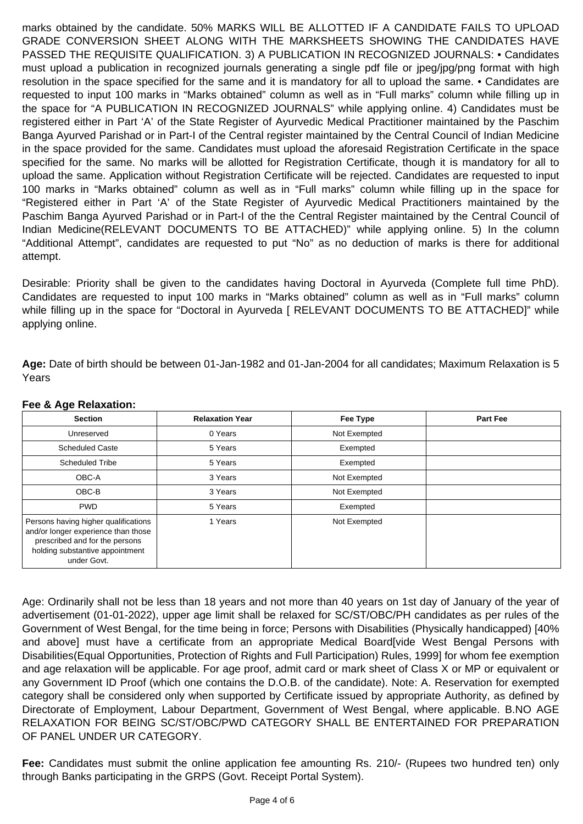marks obtained by the candidate. 50% MARKS WILL BE ALLOTTED IF A CANDIDATE FAILS TO UPLOAD GRADE CONVERSION SHEET ALONG WITH THE MARKSHEETS SHOWING THE CANDIDATES HAVE PASSED THE REQUISITE QUALIFICATION. 3) A PUBLICATION IN RECOGNIZED JOURNALS: • Candidates must upload a publication in recognized journals generating a single pdf file or jpeg/jpg/png format with high resolution in the space specified for the same and it is mandatory for all to upload the same. • Candidates are requested to input 100 marks in "Marks obtained" column as well as in "Full marks" column while filling up in the space for "A PUBLICATION IN RECOGNIZED JOURNALS" while applying online. 4) Candidates must be registered either in Part 'A' of the State Register of Ayurvedic Medical Practitioner maintained by the Paschim Banga Ayurved Parishad or in Part-I of the Central register maintained by the Central Council of Indian Medicine in the space provided for the same. Candidates must upload the aforesaid Registration Certificate in the space specified for the same. No marks will be allotted for Registration Certificate, though it is mandatory for all to upload the same. Application without Registration Certificate will be rejected. Candidates are requested to input 100 marks in "Marks obtained" column as well as in "Full marks" column while filling up in the space for "Registered either in Part 'A' of the State Register of Ayurvedic Medical Practitioners maintained by the Paschim Banga Ayurved Parishad or in Part-I of the the Central Register maintained by the Central Council of Indian Medicine(RELEVANT DOCUMENTS TO BE ATTACHED)" while applying online. 5) In the column "Additional Attempt", candidates are requested to put "No" as no deduction of marks is there for additional attempt.

Desirable: Priority shall be given to the candidates having Doctoral in Ayurveda (Complete full time PhD). Candidates are requested to input 100 marks in "Marks obtained" column as well as in "Full marks" column while filling up in the space for "Doctoral in Ayurveda [ RELEVANT DOCUMENTS TO BE ATTACHED]" while applying online.

**Age:** Date of birth should be between 01-Jan-1982 and 01-Jan-2004 for all candidates; Maximum Relaxation is 5 Years

#### **Fee & Age Relaxation:**

| Section    | Year<br>Relaxation | $=$ ee<br>Type  | <b>Part Fee</b> |
|------------|--------------------|-----------------|-----------------|
| Jnreserved | ears <sup>y</sup>  | Not<br>Exempted |                 |

| <b>Scheduled Caste</b>                                                                                                                                          | 5 Years | Exempted     |  |
|-----------------------------------------------------------------------------------------------------------------------------------------------------------------|---------|--------------|--|
| <b>Scheduled Tribe</b>                                                                                                                                          | 5 Years | Exempted     |  |
| OBC-A                                                                                                                                                           | 3 Years | Not Exempted |  |
| OBC-B                                                                                                                                                           | 3 Years | Not Exempted |  |
| <b>PWD</b>                                                                                                                                                      | 5 Years | Exempted     |  |
| Persons having higher qualifications<br>and/or longer experience than those<br>prescribed and for the persons<br>holding substantive appointment<br>under Govt. | 1 Years | Not Exempted |  |

Age: Ordinarily shall not be less than 18 years and not more than 40 years on 1st day of January of the year of advertisement (01-01-2022), upper age limit shall be relaxed for SC/ST/OBC/PH candidates as per rules of the Government of West Bengal, for the time being in force; Persons with Disabilities (Physically handicapped) [40% and above] must have a certificate from an appropriate Medical Board[vide West Bengal Persons with Disabilities(Equal Opportunities, Protection of Rights and Full Participation) Rules, 1999] for whom fee exemption and age relaxation will be applicable. For age proof, admit card or mark sheet of Class X or MP or equivalent or any Government ID Proof (which one contains the D.O.B. of the candidate). Note: A. Reservation for exempted category shall be considered only when supported by Certificate issued by appropriate Authority, as defined by Directorate of Employment, Labour Department, Government of West Bengal, where applicable. B.NO AGE RELAXATION FOR BEING SC/ST/OBC/PWD CATEGORY SHALL BE ENTERTAINED FOR PREPARATION OF PANEL UNDER UR CATEGORY.

**Fee:** Candidates must submit the online application fee amounting Rs. 210/- (Rupees two hundred ten) only through Banks participating in the GRPS (Govt. Receipt Portal System).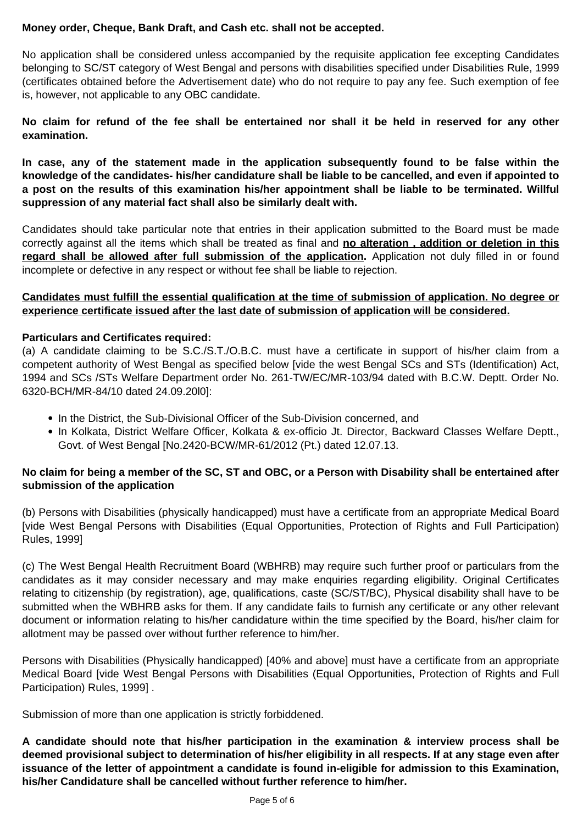## **Money order, Cheque, Bank Draft, and Cash etc. shall not be accepted.**

No application shall be considered unless accompanied by the requisite application fee excepting Candidates belonging to SC/ST category of West Bengal and persons with disabilities specified under Disabilities Rule, 1999 (certificates obtained before the Advertisement date) who do not require to pay any fee. Such exemption of fee is, however, not applicable to any OBC candidate.

**No claim for refund of the fee shall be entertained nor shall it be held in reserved for any other examination.**

**In case, any of the statement made in the application subsequently found to be false within the knowledge of the candidates- his/her candidature shall be liable to be cancelled, and even if appointed to a post on the results of this examination his/her appointment shall be liable to be terminated. Willful suppression of any material fact shall also be similarly dealt with.**

Candidates should take particular note that entries in their application submitted to the Board must be made correctly against all the items which shall be treated as final and **no alteration , addition or deletion in this** regard shall be allowed after full submission of the application. Application not duly filled in or found incomplete or defective in any respect or without fee shall be liable to rejection.

## **Candidates must fulfill the essential qualification at the time of submission of application. No degree or experience certificate issued after the last date of submission of application will be considered.**

#### **Particulars and Certificates required:**

(a) A candidate claiming to be S.C./S.T./O.B.C. must have a certificate in support of his/her claim from a competent authority of West Bengal as specified below [vide the west Bengal SCs and STs (Identification) Act, 1994 and SCs /STs Welfare Department order No. 261-TW/EC/MR-103/94 dated with B.C.W. Deptt. Order No. 6320-BCH/MR-84/10 dated 24.09.20l0]:

- In the District, the Sub-Divisional Officer of the Sub-Division concerned, and
- In Kolkata, District Welfare Officer, Kolkata & ex-officio Jt. Director, Backward Classes Welfare Deptt.,

Govt. of West Bengal [No.2420-BCW/MR-61/2012 (Pt.) dated 12.07.13.

# **No claim for being a member of the SC, ST and OBC, or a Person with Disability shall be entertained after submission of the application**

(b) Persons with Disabilities (physically handicapped) must have a certificate from an appropriate Medical Board [vide West Bengal Persons with Disabilities (Equal Opportunities, Protection of Rights and Full Participation) Rules, 1999]

(c) The West Bengal Health Recruitment Board (WBHRB) may require such further proof or particulars from the candidates as it may consider necessary and may make enquiries regarding eligibility. Original Certificates relating to citizenship (by registration), age, qualifications, caste (SC/ST/BC), Physical disability shall have to be submitted when the WBHRB asks for them. If any candidate fails to furnish any certificate or any other relevant document or information relating to his/her candidature within the time specified by the Board, his/her claim for allotment may be passed over without further reference to him/her.

Persons with Disabilities (Physically handicapped) [40% and above] must have a certificate from an appropriate Medical Board [vide West Bengal Persons with Disabilities (Equal Opportunities, Protection of Rights and Full Participation) Rules, 1999] .

Submission of more than one application is strictly forbiddened.

**A candidate should note that his/her participation in the examination & interview process shall be deemed provisional subject to determination of his/her eligibility in all respects. If at any stage even after issuance of the letter of appointment a candidate is found in-eligible for admission to this Examination, his/her Candidature shall be cancelled without further reference to him/her.**